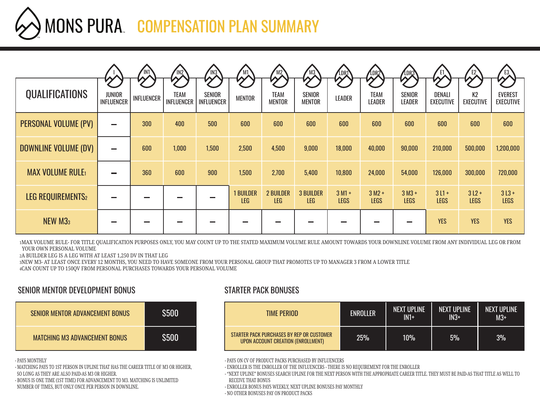## MONS PURA. COMPENSATION PLAN SUMMARY

|                        |                                    | IN1               | IN2                       | IN <sub>3</sub>      | M1                             | M2                             | M3                             | LDRT                    | <b>LDR2</b>             | LDR3                                |                            |                        | E3                                 |
|------------------------|------------------------------------|-------------------|---------------------------|----------------------|--------------------------------|--------------------------------|--------------------------------|-------------------------|-------------------------|-------------------------------------|----------------------------|------------------------|------------------------------------|
| <b>QUALIFICATIONS</b>  | <b>JUNIOR</b><br><b>INFLUENCER</b> | <b>INFLUENCER</b> | <b>TEAM</b><br>INFLUENCER | SENIOR<br>INFLUENCER | <b>MENTOR</b>                  | <b>TEAM</b><br><b>MENTOR</b>   | SENIOR<br><b>MENTOR</b>        | <b>LEADER</b>           | <b>TEAM</b><br>LEADER   | <b>SENIOR</b><br><b>LEADER</b>      | <b>DENALI</b><br>EXECUTIVE | K2<br><b>EXECUTIVE</b> | <b>EVEREST</b><br><b>EXECUTIVE</b> |
| PERSONAL VOLUME (PV)   | -                                  | 300               | 400                       | 500                  | 600                            | 600                            | 600                            | 600                     | 600                     | 600                                 | 600                        | 600                    | 600                                |
| DOWNLINE VOLUME (DV)   | -                                  | 600               | 1,000                     | 1,500                | 2,500                          | 4,500                          | 9,000                          | 18,000                  | 40,000                  | 90,000                              | 210,000                    | 500,000                | 1,200,000                          |
| <b>MAX VOLUME RULE</b> |                                    | 360               | 600                       | 900                  | 1,500                          | 2,700                          | 5,400                          | 10,800                  | 24,000                  | 54,000                              | 126,000                    | 300,000                | 720,000                            |
| LEG REQUIREMENTS2      |                                    |                   |                           |                      | <b>1 BUILDER</b><br><b>LEG</b> | <b>2 BUILDER</b><br><b>LEG</b> | <b>3 BUILDER</b><br><b>LEG</b> | $3 M1 +$<br><b>LEGS</b> | $3 M2 +$<br><b>LEGS</b> | $3$ M <sub>3</sub> +<br><b>LEGS</b> | $3L1+$<br><b>LEGS</b>      | $3L2 +$<br><b>LEGS</b> | $3L3 +$<br><b>LEGS</b>             |
| NEW M33                |                                    |                   |                           |                      |                                |                                |                                |                         |                         |                                     | <b>YES</b>                 | <b>YES</b>             | <b>YES</b>                         |

1MAX VOLUME RULE- FOR TITLE QUALIFICATION PURPOSES ONLY, YOU MAY COUNT UP TO THE STATED MAXIMUM VOLUME RULE AMOUNT TOWARDS YOUR DOWNLINE VOLUME FROM ANY INDIVIDUAL LEG OR FROM YOUR OWN PERSONAL VOLUME

2A BUILDER LEG IS A LEG WITH AT LEAST 1,250 DV IN THAT LEG

3NEW M3- AT LEAST ONCE EVERY 12 MONTHS, YOU NEED TO HAVE SOMEONE FROM YOUR PERSONAL GROUP THAT PROMOTES UP TO MANAGER 3 FROM A LOWER TITLE

4CAN COUNT UP TO 150QV FROM PERSONAL PURCHASES TOWARDS YOUR PERSONAL VOLUME

## SENIOR MENTOR DEVELOPMENT BONUS STARTER PACK BONUSES

| SENIOR MENTOR ADVANCEMENT BONUS      | <b>S500</b> |
|--------------------------------------|-------------|
| <b>MATCHING M3 ADVANCEMENT BONUS</b> | <b>S500</b> |

- PAYS MONTHLY

- MATCHING PAYS TO 1ST PERSON IN UPLINE THAT HAS THE CAREER TITLE OF M3 OR HIGHER, SO LONG AS THEY ARE ALSO PAID-AS M3 OR HIGHER.

- BONUS IS ONE TIME (1ST TIME) FOR ADVANCEMENT TO M3. MATCHING IS UNLIMITED NUMBER OF TIMES, BUT ONLY ONCE PER PERSON IN DOWNLINE.

| TIME PERIOD                                                                     | ENROLLER | <b>NEXT UPLINE</b><br>$IN1+$ | <b>NEXT UPLINE</b><br>$IN3+$ | <b>NEXT UPLINE</b><br>$M3+$ |  |  |
|---------------------------------------------------------------------------------|----------|------------------------------|------------------------------|-----------------------------|--|--|
| STARTER PACK PURCHASES BY REP OR CUSTOMER<br>UPON ACCOUNT CREATION (ENROLLMENT) | 25%      | 10%                          | 5%                           | 3%                          |  |  |

- PAYS ON CV OF PRODUCT PACKS PURCHASED BY INFLUENCERS

- ENROLLER IS THE ENROLLER OF THE INFLUENCERS - THERE IS NO REQUIREMENT FOR THE ENROLLER

- "NEXT UPLINE" BONUSES SEARCH UPLINE FOR THE NEXT PERSON WITH THE APPROPRIATE CAREER TITLE. THEY MUST BE PAID-AS THAT TITLE AS WELL TO RECEIVE THAT BONUS

- ENROLLER BONUS PAYS WEEKLY, NEXT UPLINE BONUSES PAY MONTHLY

- NO OTHER BONUSES PAY ON PRODUCT PACKS